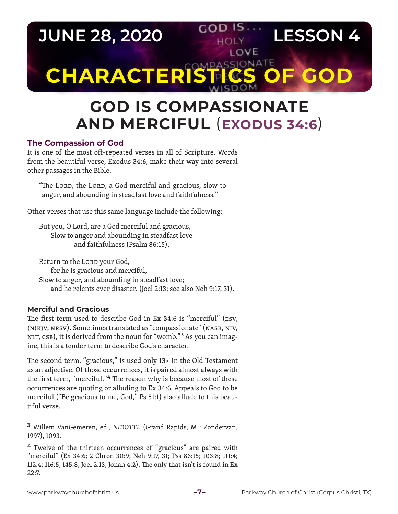**JUNE 28, 2020 COD IS. LESSON 4** LOVE **CHARACTERISTICS** 

# **GOD IS COMPASSIONATE AND MERCIFUL** (**EXODUS 34:6**)

### **The Compassion of God**

It is one of the most oft-repeated verses in all of Scripture. Words from the beautiful verse, Exodus 34:6, make their way into several other passages in the Bible.

"The Lord, the Lord, a God merciful and gracious, slow to anger, and abounding in steadfast love and faithfulness."

Other verses that use this same language include the following:

But you, O Lord, are a God merciful and gracious, Slow to anger and abounding in steadfast love and faithfulness (Psalm 86:15).

Return to the LORD your God, for he is gracious and merciful, Slow to anger, and abounding in steadfast love; and he relents over disaster. (Joel 2:13; see also Neh 9:17, 31).

#### **Merciful and Gracious**

The first term used to describe God in Ex 34:6 is "merciful" (ESV, (N)KJV, NRSV). Sometimes translated as "compassionate" (NASB, NIV, NLT, CSB), it is derived from the noun for "womb."**3** As you can imagine, this is a tender term to describe God's character.

The second term, "gracious," is used only 13× in the Old Testament as an adjective. Of those occurrences, it is paired almost always with the first term, "merciful."**4** The reason why is because most of these occurrences are quoting or alluding to Ex 34:6. Appeals to God to be merciful ("Be gracious to me, God," Ps 51:1) also allude to this beautiful verse.

**<sup>3</sup>** Willem VanGemeren, ed., *NIDOTTE* (Grand Rapids, MI: Zondervan, 1997), 1093.

**<sup>4</sup>** Twelve of the thirteen occurrences of "gracious" are paired with "merciful" (Ex 34:6; 2 Chron 30:9; Neh 9:17, 31; Pss 86:15; 103:8; 111:4; 112:4; 116:5; 145:8; Joel 2:13; Jonah 4:2). The only that isn't is found in Ex 22:7.